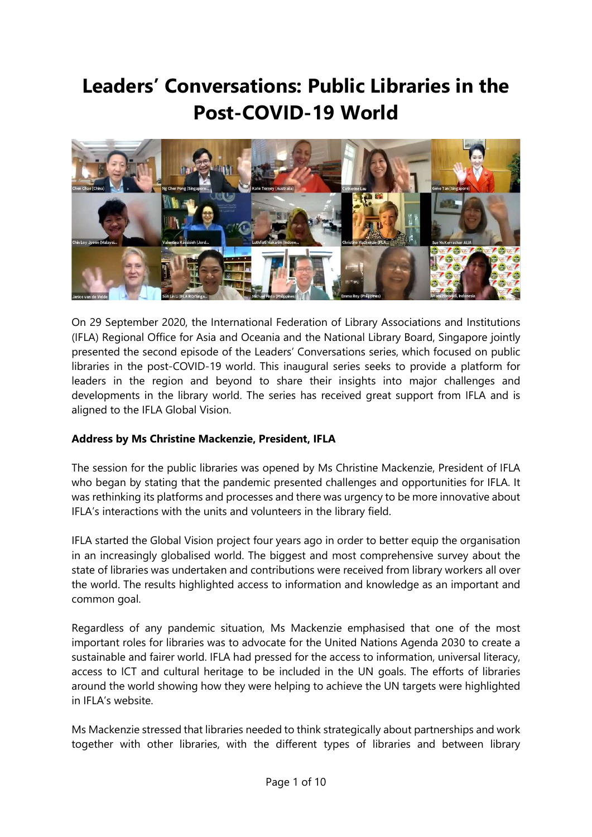# Leaders' Conversations: Public Libraries in the Post-COVID-19 World



On 29 September 2020, the International Federation of Library Associations and Institutions (IFLA) Regional Office for Asia and Oceania and the National Library Board, Singapore jointly presented the second episode of the Leaders' Conversations series, which focused on public libraries in the post-COVID-19 world. This inaugural series seeks to provide a platform for leaders in the region and beyond to share their insights into major challenges and developments in the library world. The series has received great support from IFLA and is aligned to the IFLA Global Vision.

#### Address by Ms Christine Mackenzie, President, IFLA

The session for the public libraries was opened by Ms Christine Mackenzie, President of IFLA who began by stating that the pandemic presented challenges and opportunities for IFLA. It was rethinking its platforms and processes and there was urgency to be more innovative about IFLA's interactions with the units and volunteers in the library field.

IFLA started the Global Vision project four years ago in order to better equip the organisation in an increasingly globalised world. The biggest and most comprehensive survey about the state of libraries was undertaken and contributions were received from library workers all over the world. The results highlighted access to information and knowledge as an important and common goal.

Regardless of any pandemic situation, Ms Mackenzie emphasised that one of the most important roles for libraries was to advocate for the United Nations Agenda 2030 to create a sustainable and fairer world. IFLA had pressed for the access to information, universal literacy, access to ICT and cultural heritage to be included in the UN goals. The efforts of libraries around the world showing how they were helping to achieve the UN targets were highlighted in IFLA's website.

Ms Mackenzie stressed that libraries needed to think strategically about partnerships and work together with other libraries, with the different types of libraries and between library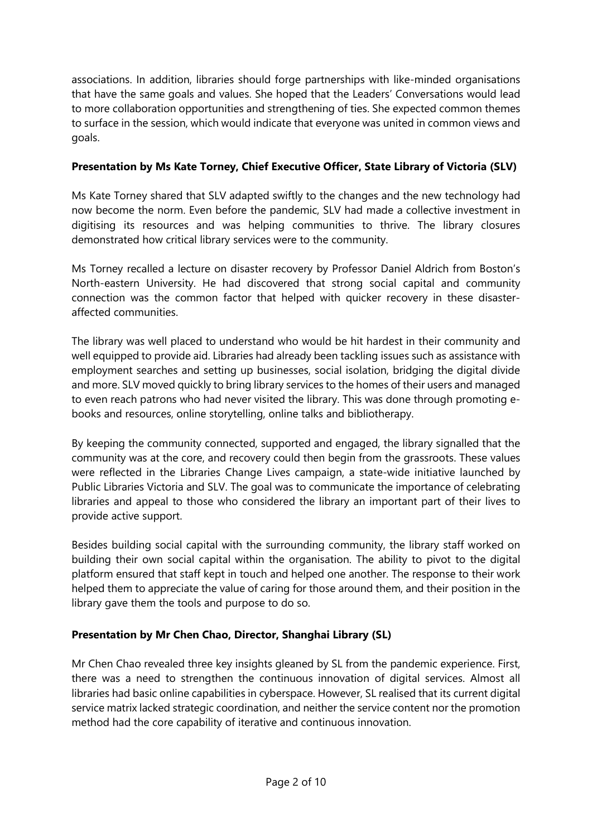associations. In addition, libraries should forge partnerships with like-minded organisations that have the same goals and values. She hoped that the Leaders' Conversations would lead to more collaboration opportunities and strengthening of ties. She expected common themes to surface in the session, which would indicate that everyone was united in common views and goals.

# Presentation by Ms Kate Torney, Chief Executive Officer, State Library of Victoria (SLV)

Ms Kate Torney shared that SLV adapted swiftly to the changes and the new technology had now become the norm. Even before the pandemic, SLV had made a collective investment in digitising its resources and was helping communities to thrive. The library closures demonstrated how critical library services were to the community.

Ms Torney recalled a lecture on disaster recovery by Professor Daniel Aldrich from Boston's North-eastern University. He had discovered that strong social capital and community connection was the common factor that helped with quicker recovery in these disasteraffected communities.

The library was well placed to understand who would be hit hardest in their community and well equipped to provide aid. Libraries had already been tackling issues such as assistance with employment searches and setting up businesses, social isolation, bridging the digital divide and more. SLV moved quickly to bring library services to the homes of their users and managed to even reach patrons who had never visited the library. This was done through promoting ebooks and resources, online storytelling, online talks and bibliotherapy.

By keeping the community connected, supported and engaged, the library signalled that the community was at the core, and recovery could then begin from the grassroots. These values were reflected in the Libraries Change Lives campaign, a state-wide initiative launched by Public Libraries Victoria and SLV. The goal was to communicate the importance of celebrating libraries and appeal to those who considered the library an important part of their lives to provide active support.

Besides building social capital with the surrounding community, the library staff worked on building their own social capital within the organisation. The ability to pivot to the digital platform ensured that staff kept in touch and helped one another. The response to their work helped them to appreciate the value of caring for those around them, and their position in the library gave them the tools and purpose to do so.

# Presentation by Mr Chen Chao, Director, Shanghai Library (SL)

Mr Chen Chao revealed three key insights gleaned by SL from the pandemic experience. First, there was a need to strengthen the continuous innovation of digital services. Almost all libraries had basic online capabilities in cyberspace. However, SL realised that its current digital service matrix lacked strategic coordination, and neither the service content nor the promotion method had the core capability of iterative and continuous innovation.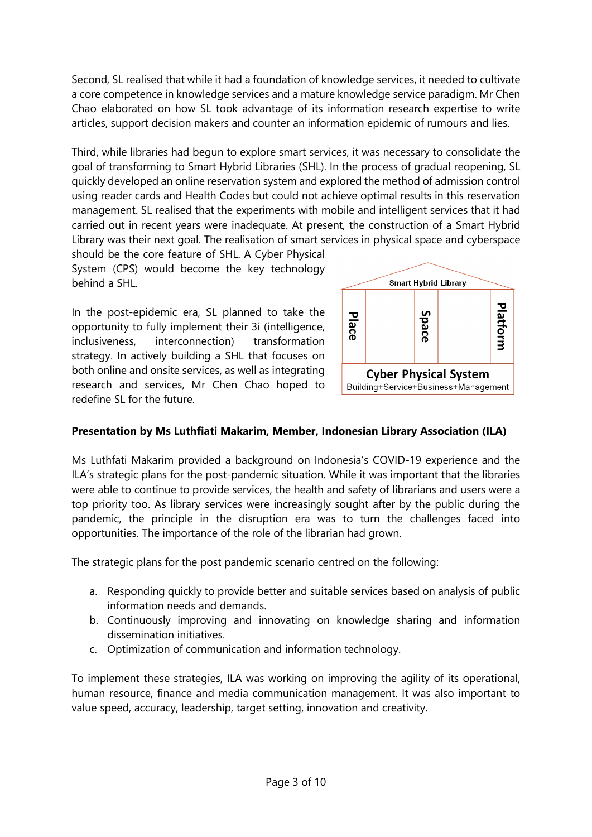Second, SL realised that while it had a foundation of knowledge services, it needed to cultivate a core competence in knowledge services and a mature knowledge service paradigm. Mr Chen Chao elaborated on how SL took advantage of its information research expertise to write articles, support decision makers and counter an information epidemic of rumours and lies.

Third, while libraries had begun to explore smart services, it was necessary to consolidate the goal of transforming to Smart Hybrid Libraries (SHL). In the process of gradual reopening, SL quickly developed an online reservation system and explored the method of admission control using reader cards and Health Codes but could not achieve optimal results in this reservation management. SL realised that the experiments with mobile and intelligent services that it had carried out in recent years were inadequate. At present, the construction of a Smart Hybrid Library was their next goal. The realisation of smart services in physical space and cyberspace

should be the core feature of SHL. A Cyber Physical System (CPS) would become the key technology behind a SHL.

In the post-epidemic era, SL planned to take the opportunity to fully implement their 3i (intelligence, inclusiveness, interconnection) transformation strategy. In actively building a SHL that focuses on both online and onsite services, as well as integrating research and services, Mr Chen Chao hoped to redefine SL for the future.



#### Presentation by Ms Luthfiati Makarim, Member, Indonesian Library Association (ILA)

Ms Luthfati Makarim provided a background on Indonesia's COVID-19 experience and the ILA's strategic plans for the post-pandemic situation. While it was important that the libraries were able to continue to provide services, the health and safety of librarians and users were a top priority too. As library services were increasingly sought after by the public during the pandemic, the principle in the disruption era was to turn the challenges faced into opportunities. The importance of the role of the librarian had grown.

The strategic plans for the post pandemic scenario centred on the following:

- a. Responding quickly to provide better and suitable services based on analysis of public information needs and demands.
- b. Continuously improving and innovating on knowledge sharing and information dissemination initiatives.
- c. Optimization of communication and information technology.

To implement these strategies, ILA was working on improving the agility of its operational, human resource, finance and media communication management. It was also important to value speed, accuracy, leadership, target setting, innovation and creativity.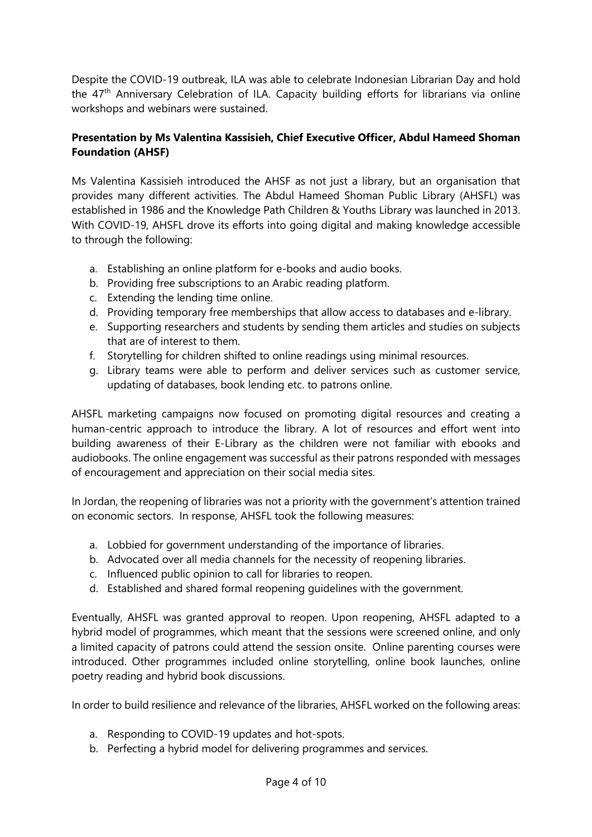Despite the COVID-19 outbreak, ILA was able to celebrate Indonesian Librarian Day and hold the 47<sup>th</sup> Anniversary Celebration of ILA. Capacity building efforts for librarians via online workshops and webinars were sustained.

#### Presentation by Ms Valentina Kassisieh, Chief Executive Officer, Abdul Hameed Shoman Foundation (AHSF)

Ms Valentina Kassisieh introduced the AHSF as not just a library, but an organisation that provides many different activities. The Abdul Hameed Shoman Public Library (AHSFL) was established in 1986 and the Knowledge Path Children & Youths Library was launched in 2013. With COVID-19, AHSFL drove its efforts into going digital and making knowledge accessible to through the following:

- a. Establishing an online platform for e-books and audio books.
- b. Providing free subscriptions to an Arabic reading platform.
- c. Extending the lending time online.
- d. Providing temporary free memberships that allow access to databases and e-library.
- e. Supporting researchers and students by sending them articles and studies on subjects that are of interest to them.
- f. Storytelling for children shifted to online readings using minimal resources.
- g. Library teams were able to perform and deliver services such as customer service, updating of databases, book lending etc. to patrons online.

AHSFL marketing campaigns now focused on promoting digital resources and creating a human-centric approach to introduce the library. A lot of resources and effort went into building awareness of their E-Library as the children were not familiar with ebooks and audiobooks. The online engagement was successful as their patrons responded with messages of encouragement and appreciation on their social media sites.

In Jordan, the reopening of libraries was not a priority with the government's attention trained on economic sectors. In response, AHSFL took the following measures:

- a. Lobbied for government understanding of the importance of libraries.
- b. Advocated over all media channels for the necessity of reopening libraries.
- c. Influenced public opinion to call for libraries to reopen.
- d. Established and shared formal reopening guidelines with the government.

Eventually, AHSFL was granted approval to reopen. Upon reopening, AHSFL adapted to a hybrid model of programmes, which meant that the sessions were screened online, and only a limited capacity of patrons could attend the session onsite. Online parenting courses were introduced. Other programmes included online storytelling, online book launches, online poetry reading and hybrid book discussions.

In order to build resilience and relevance of the libraries, AHSFL worked on the following areas:

- a. Responding to COVID-19 updates and hot-spots.
- b. Perfecting a hybrid model for delivering programmes and services.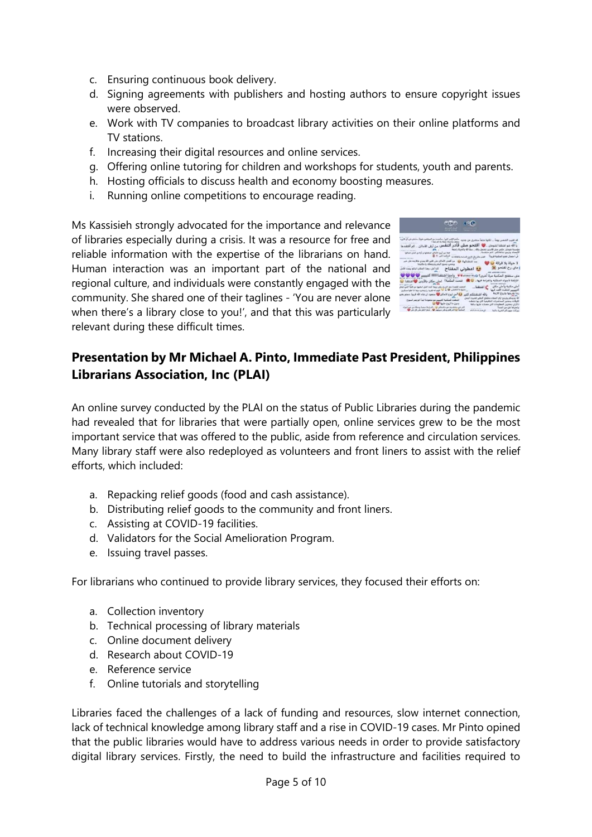- c. Ensuring continuous book delivery.
- d. Signing agreements with publishers and hosting authors to ensure copyright issues were observed.
- e. Work with TV companies to broadcast library activities on their online platforms and TV stations.
- f. Increasing their digital resources and online services.
- g. Offering online tutoring for children and workshops for students, youth and parents.
- h. Hosting officials to discuss health and economy boosting measures.
- i. Running online competitions to encourage reading.

Ms Kassisieh strongly advocated for the importance and relevance of libraries especially during a crisis. It was a resource for free and reliable information with the expertise of the librarians on hand. Human interaction was an important part of the national and regional culture, and individuals were constantly engaged with the community. She shared one of their taglines - 'You are never alone when there's a library close to you!', and that this was particularly relevant during these difficult times.



# Presentation by Mr Michael A. Pinto, Immediate Past President, Philippines Librarians Association, Inc (PLAI)

An online survey conducted by the PLAI on the status of Public Libraries during the pandemic had revealed that for libraries that were partially open, online services grew to be the most important service that was offered to the public, aside from reference and circulation services. Many library staff were also redeployed as volunteers and front liners to assist with the relief efforts, which included:

- a. Repacking relief goods (food and cash assistance).
- b. Distributing relief goods to the community and front liners.
- c. Assisting at COVID-19 facilities.
- d. Validators for the Social Amelioration Program.
- e. Issuing travel passes.

For librarians who continued to provide library services, they focused their efforts on:

- a. Collection inventory
- b. Technical processing of library materials
- c. Online document delivery
- d. Research about COVID-19
- e. Reference service
- f. Online tutorials and storytelling

Libraries faced the challenges of a lack of funding and resources, slow internet connection, lack of technical knowledge among library staff and a rise in COVID-19 cases. Mr Pinto opined that the public libraries would have to address various needs in order to provide satisfactory digital library services. Firstly, the need to build the infrastructure and facilities required to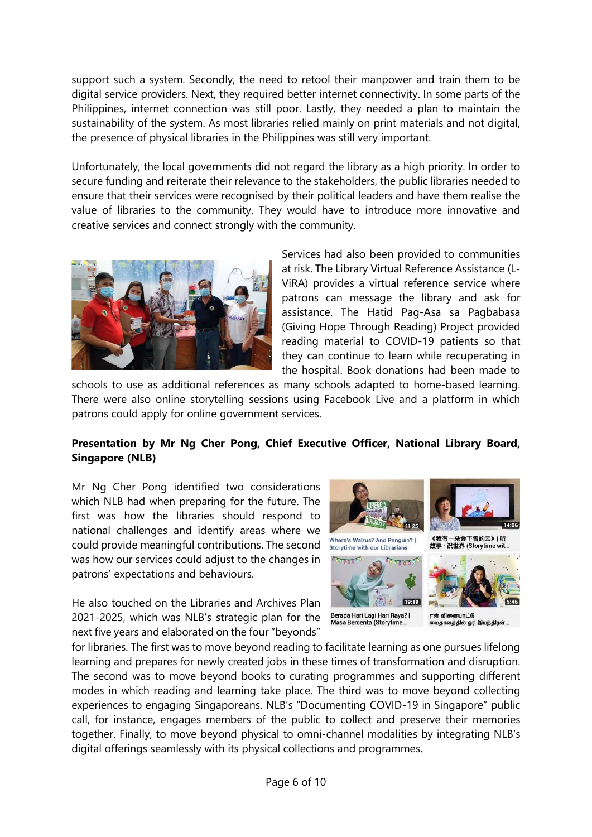support such a system. Secondly, the need to retool their manpower and train them to be digital service providers. Next, they required better internet connectivity. In some parts of the Philippines, internet connection was still poor. Lastly, they needed a plan to maintain the sustainability of the system. As most libraries relied mainly on print materials and not digital, the presence of physical libraries in the Philippines was still very important.

Unfortunately, the local governments did not regard the library as a high priority. In order to secure funding and reiterate their relevance to the stakeholders, the public libraries needed to ensure that their services were recognised by their political leaders and have them realise the value of libraries to the community. They would have to introduce more innovative and creative services and connect strongly with the community.



Services had also been provided to communities at risk. The Library Virtual Reference Assistance (L-ViRA) provides a virtual reference service where patrons can message the library and ask for assistance. The Hatid Pag-Asa sa Pagbabasa (Giving Hope Through Reading) Project provided reading material to COVID-19 patients so that they can continue to learn while recuperating in the hospital. Book donations had been made to

schools to use as additional references as many schools adapted to home-based learning. There were also online storytelling sessions using Facebook Live and a platform in which patrons could apply for online government services.

#### Presentation by Mr Ng Cher Pong, Chief Executive Officer, National Library Board, Singapore (NLB)

Mr Ng Cher Pong identified two considerations which NLB had when preparing for the future. The first was how the libraries should respond to national challenges and identify areas where we could provide meaningful contributions. The second was how our services could adjust to the changes in patrons' expectations and behaviours.

He also touched on the Libraries and Archives Plan 2021-2025, which was NLB's strategic plan for the next five years and elaborated on the four "beyonds"



for libraries. The first was to move beyond reading to facilitate learning as one pursues lifelong learning and prepares for newly created jobs in these times of transformation and disruption. The second was to move beyond books to curating programmes and supporting different modes in which reading and learning take place. The third was to move beyond collecting experiences to engaging Singaporeans. NLB's "Documenting COVID-19 in Singapore" public call, for instance, engages members of the public to collect and preserve their memories together. Finally, to move beyond physical to omni-channel modalities by integrating NLB's digital offerings seamlessly with its physical collections and programmes.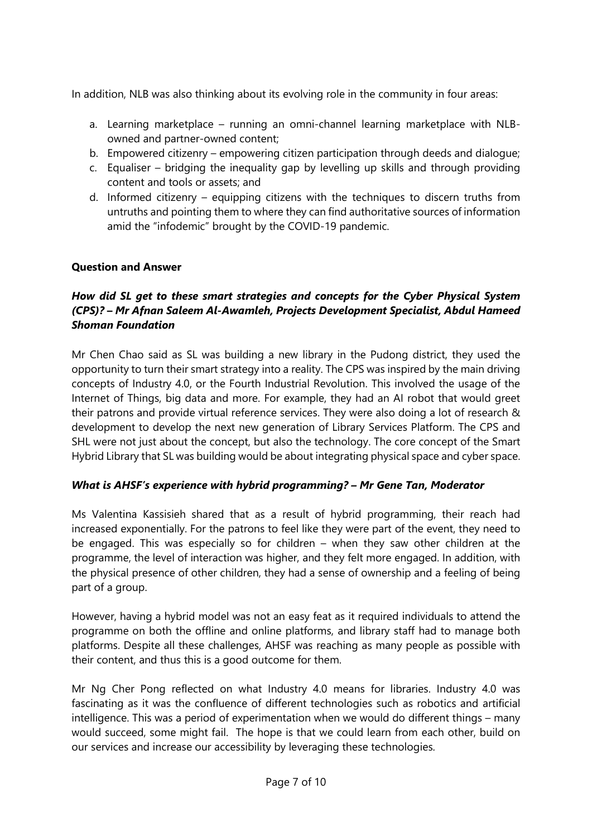In addition, NLB was also thinking about its evolving role in the community in four areas:

- a. Learning marketplace running an omni-channel learning marketplace with NLBowned and partner-owned content;
- b. Empowered citizenry empowering citizen participation through deeds and dialogue;
- c. Equaliser bridging the inequality gap by levelling up skills and through providing content and tools or assets; and
- d. Informed citizenry equipping citizens with the techniques to discern truths from untruths and pointing them to where they can find authoritative sources of information amid the "infodemic" brought by the COVID-19 pandemic.

#### Question and Answer

#### How did SL get to these smart strategies and concepts for the Cyber Physical System (CPS)? – Mr Afnan Saleem Al-Awamleh, Projects Development Specialist, Abdul Hameed Shoman Foundation

Mr Chen Chao said as SL was building a new library in the Pudong district, they used the opportunity to turn their smart strategy into a reality. The CPS was inspired by the main driving concepts of Industry 4.0, or the Fourth Industrial Revolution. This involved the usage of the Internet of Things, big data and more. For example, they had an AI robot that would greet their patrons and provide virtual reference services. They were also doing a lot of research & development to develop the next new generation of Library Services Platform. The CPS and SHL were not just about the concept, but also the technology. The core concept of the Smart Hybrid Library that SL was building would be about integrating physical space and cyber space.

# What is AHSF's experience with hybrid programming? – Mr Gene Tan, Moderator

Ms Valentina Kassisieh shared that as a result of hybrid programming, their reach had increased exponentially. For the patrons to feel like they were part of the event, they need to be engaged. This was especially so for children – when they saw other children at the programme, the level of interaction was higher, and they felt more engaged. In addition, with the physical presence of other children, they had a sense of ownership and a feeling of being part of a group.

However, having a hybrid model was not an easy feat as it required individuals to attend the programme on both the offline and online platforms, and library staff had to manage both platforms. Despite all these challenges, AHSF was reaching as many people as possible with their content, and thus this is a good outcome for them.

Mr Ng Cher Pong reflected on what Industry 4.0 means for libraries. Industry 4.0 was fascinating as it was the confluence of different technologies such as robotics and artificial intelligence. This was a period of experimentation when we would do different things – many would succeed, some might fail. The hope is that we could learn from each other, build on our services and increase our accessibility by leveraging these technologies.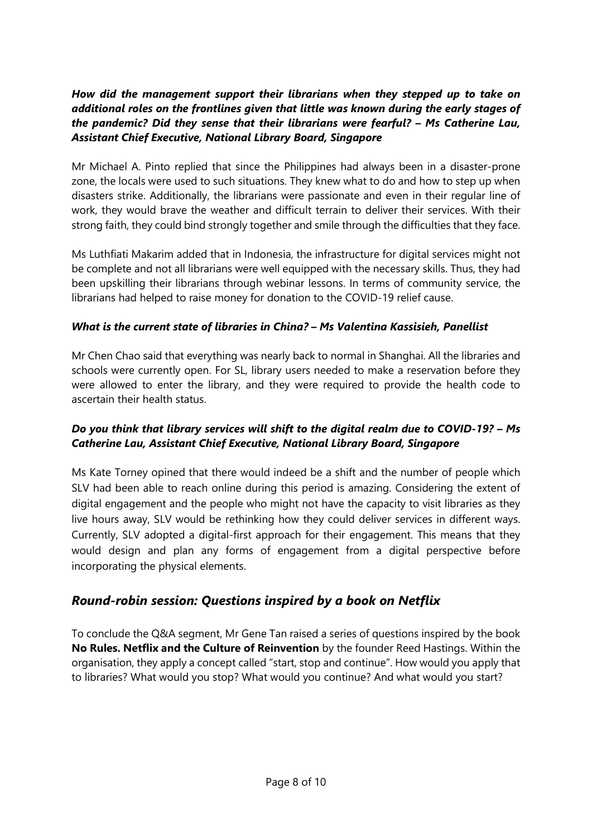# How did the management support their librarians when they stepped up to take on additional roles on the frontlines given that little was known during the early stages of the pandemic? Did they sense that their librarians were fearful? – Ms Catherine Lau, Assistant Chief Executive, National Library Board, Singapore

Mr Michael A. Pinto replied that since the Philippines had always been in a disaster-prone zone, the locals were used to such situations. They knew what to do and how to step up when disasters strike. Additionally, the librarians were passionate and even in their regular line of work, they would brave the weather and difficult terrain to deliver their services. With their strong faith, they could bind strongly together and smile through the difficulties that they face.

Ms Luthfiati Makarim added that in Indonesia, the infrastructure for digital services might not be complete and not all librarians were well equipped with the necessary skills. Thus, they had been upskilling their librarians through webinar lessons. In terms of community service, the librarians had helped to raise money for donation to the COVID-19 relief cause.

#### What is the current state of libraries in China? – Ms Valentina Kassisieh, Panellist

Mr Chen Chao said that everything was nearly back to normal in Shanghai. All the libraries and schools were currently open. For SL, library users needed to make a reservation before they were allowed to enter the library, and they were required to provide the health code to ascertain their health status.

# Do you think that library services will shift to the digital realm due to COVID-19? – Ms Catherine Lau, Assistant Chief Executive, National Library Board, Singapore

Ms Kate Torney opined that there would indeed be a shift and the number of people which SLV had been able to reach online during this period is amazing. Considering the extent of digital engagement and the people who might not have the capacity to visit libraries as they live hours away, SLV would be rethinking how they could deliver services in different ways. Currently, SLV adopted a digital-first approach for their engagement. This means that they would design and plan any forms of engagement from a digital perspective before incorporating the physical elements.

# Round-robin session: Questions inspired by a book on Netflix

To conclude the Q&A segment, Mr Gene Tan raised a series of questions inspired by the book No Rules. Netflix and the Culture of Reinvention by the founder Reed Hastings. Within the organisation, they apply a concept called "start, stop and continue". How would you apply that to libraries? What would you stop? What would you continue? And what would you start?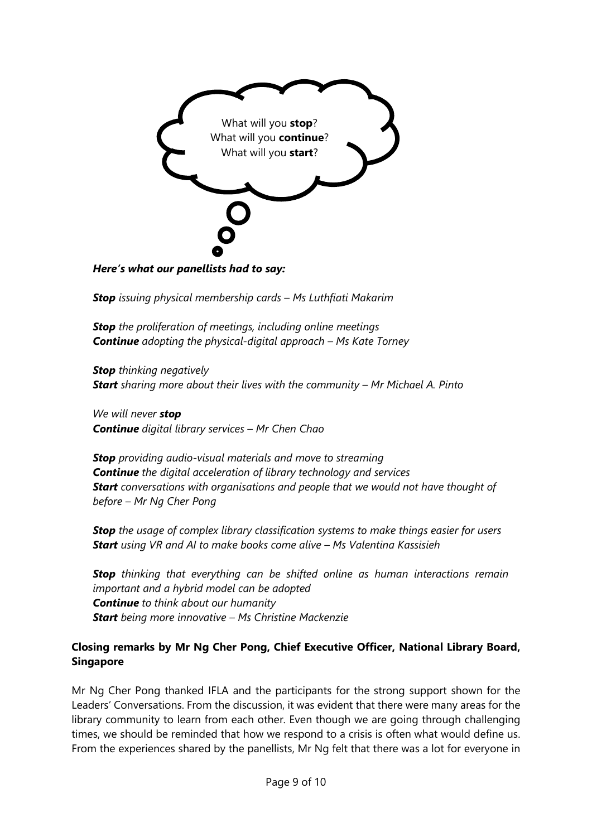

Here's what our panellists had to say:

**Stop** issuing physical membership cards - Ms Luthfiati Makarim

**Stop** the proliferation of meetings, including online meetings **Continue** adopting the physical-digital approach  $-$  Ms Kate Torney

**Stop** thinking negatively **Start** sharing more about their lives with the community  $-$  Mr Michael A. Pinto

We will never stop Continue digital library services - Mr Chen Chao

**Stop** providing audio-visual materials and move to streaming **Continue** the digital acceleration of library technology and services **Start** conversations with organisations and people that we would not have thought of before – Mr Ng Cher Pong

**Stop** the usage of complex library classification systems to make things easier for users Start using VR and AI to make books come alive - Ms Valentina Kassisieh

**Stop** thinking that everything can be shifted online as human interactions remain important and a hybrid model can be adopted **Continue** to think about our humanity **Start** being more innovative - Ms Christine Mackenzie

#### Closing remarks by Mr Ng Cher Pong, Chief Executive Officer, National Library Board, Singapore

Mr Ng Cher Pong thanked IFLA and the participants for the strong support shown for the Leaders' Conversations. From the discussion, it was evident that there were many areas for the library community to learn from each other. Even though we are going through challenging times, we should be reminded that how we respond to a crisis is often what would define us. From the experiences shared by the panellists, Mr Ng felt that there was a lot for everyone in